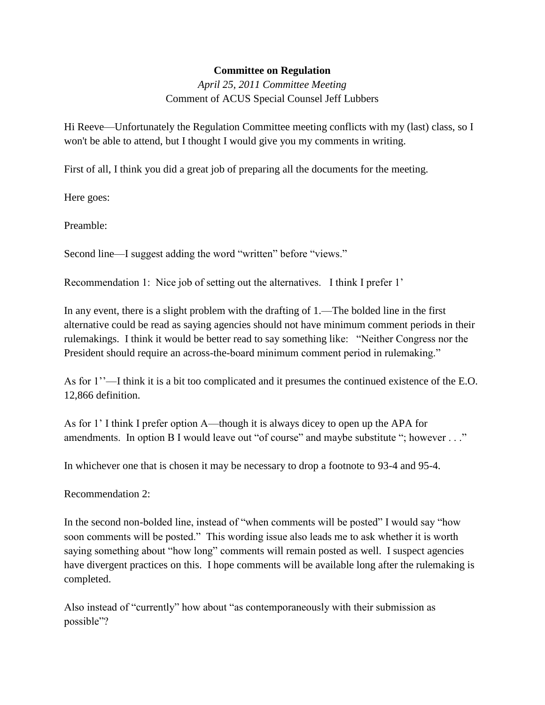## **Committee on Regulation**

*April 25, 2011 Committee Meeting* Comment of ACUS Special Counsel Jeff Lubbers

Hi Reeve—Unfortunately the Regulation Committee meeting conflicts with my (last) class, so I won't be able to attend, but I thought I would give you my comments in writing.

First of all, I think you did a great job of preparing all the documents for the meeting.

Here goes:

Preamble:

Second line—I suggest adding the word "written" before "views."

Recommendation 1: Nice job of setting out the alternatives. I think I prefer 1'

In any event, there is a slight problem with the drafting of 1.—The bolded line in the first alternative could be read as saying agencies should not have minimum comment periods in their rulemakings. I think it would be better read to say something like: "Neither Congress nor the President should require an across-the-board minimum comment period in rulemaking."

As for 1''—I think it is a bit too complicated and it presumes the continued existence of the E.O. 12,866 definition.

As for 1' I think I prefer option A—though it is always dicey to open up the APA for amendments. In option B I would leave out "of course" and maybe substitute "; however . . ."

In whichever one that is chosen it may be necessary to drop a footnote to 93-4 and 95-4.

Recommendation 2:

In the second non-bolded line, instead of "when comments will be posted" I would say "how soon comments will be posted." This wording issue also leads me to ask whether it is worth saying something about "how long" comments will remain posted as well. I suspect agencies have divergent practices on this. I hope comments will be available long after the rulemaking is completed.

Also instead of "currently" how about "as contemporaneously with their submission as possible"?